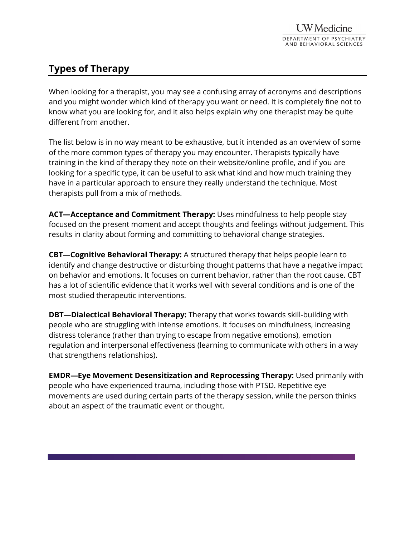## **Types of Therapy**

When looking for a therapist, you may see a confusing array of acronyms and descriptions and you might wonder which kind of therapy you want or need. It is completely fine not to know what you are looking for, and it also helps explain why one therapist may be quite different from another.

The list below is in no way meant to be exhaustive, but it intended as an overview of some of the more common types of therapy you may encounter. Therapists typically have training in the kind of therapy they note on their website/online profile, and if you are looking for a specific type, it can be useful to ask what kind and how much training they have in a particular approach to ensure they really understand the technique. Most therapists pull from a mix of methods.

**ACT—Acceptance and Commitment Therapy:** Uses mindfulness to help people stay focused on the present moment and accept thoughts and feelings without judgement. This results in clarity about forming and committing to behavioral change strategies.

**CBT—Cognitive Behavioral Therapy:** A structured therapy that helps people learn to identify and change destructive or disturbing thought patterns that have a negative impact on behavior and emotions. It focuses on current behavior, rather than the root cause. CBT has a lot of scientific evidence that it works well with several conditions and is one of the most studied therapeutic interventions.

**DBT—Dialectical Behavioral Therapy:** Therapy that works towards skill-building with people who are struggling with intense emotions. It focuses on mindfulness, increasing distress tolerance (rather than trying to escape from negative emotions), emotion regulation and interpersonal effectiveness (learning to communicate with others in a way that strengthens relationships).

**EMDR—Eye Movement Desensitization and Reprocessing Therapy:** Used primarily with people who have experienced trauma, including those with PTSD. Repetitive eye movements are used during certain parts of the therapy session, while the person thinks about an aspect of the traumatic event or thought.